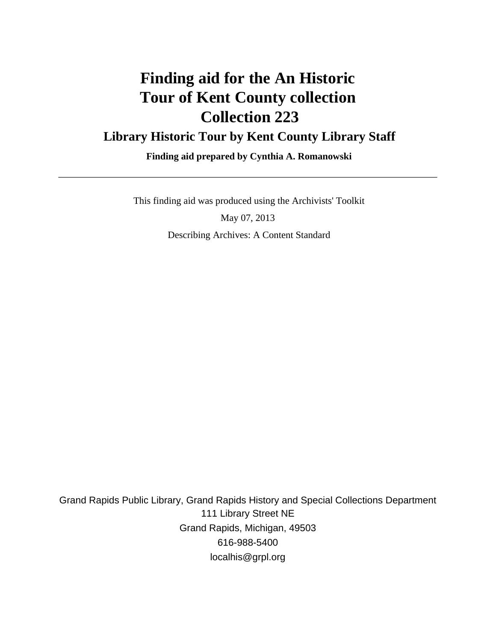# **Finding aid for the An Historic Tour of Kent County collection Collection 223**

#### **Library Historic Tour by Kent County Library Staff**

 **Finding aid prepared by Cynthia A. Romanowski**

This finding aid was produced using the Archivists' Toolkit

May 07, 2013 Describing Archives: A Content Standard

Grand Rapids Public Library, Grand Rapids History and Special Collections Department 111 Library Street NE Grand Rapids, Michigan, 49503 616-988-5400 localhis@grpl.org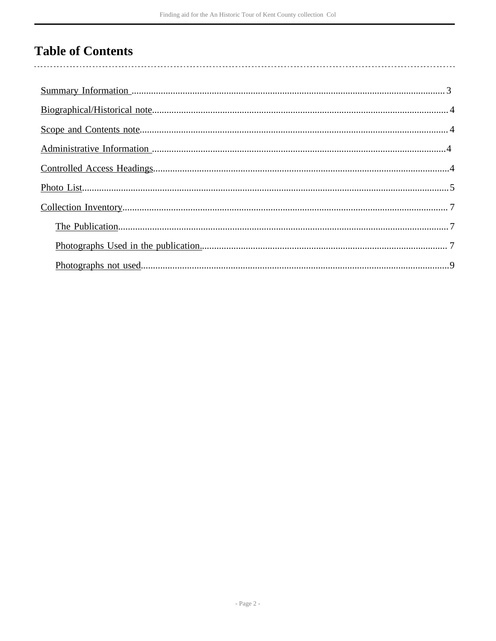## **Table of Contents**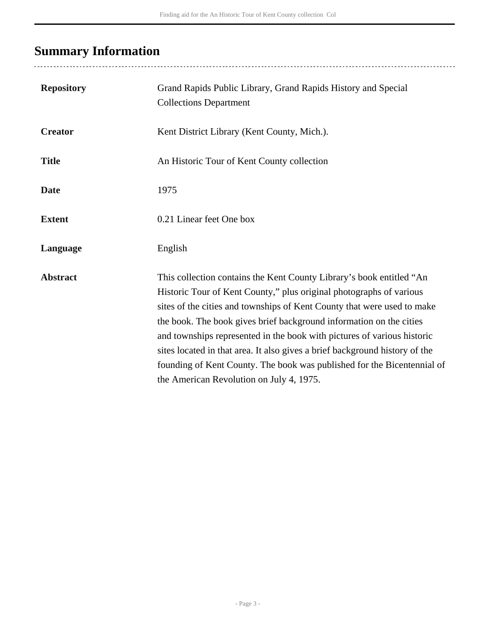# <span id="page-2-0"></span>**Summary Information**

...................................

| <b>Repository</b> | Grand Rapids Public Library, Grand Rapids History and Special<br><b>Collections Department</b>                                                                                                                                                                                                                                                                                                                                                                                                                                                                                 |
|-------------------|--------------------------------------------------------------------------------------------------------------------------------------------------------------------------------------------------------------------------------------------------------------------------------------------------------------------------------------------------------------------------------------------------------------------------------------------------------------------------------------------------------------------------------------------------------------------------------|
| <b>Creator</b>    | Kent District Library (Kent County, Mich.).                                                                                                                                                                                                                                                                                                                                                                                                                                                                                                                                    |
| <b>Title</b>      | An Historic Tour of Kent County collection                                                                                                                                                                                                                                                                                                                                                                                                                                                                                                                                     |
| <b>Date</b>       | 1975                                                                                                                                                                                                                                                                                                                                                                                                                                                                                                                                                                           |
| <b>Extent</b>     | 0.21 Linear feet One box                                                                                                                                                                                                                                                                                                                                                                                                                                                                                                                                                       |
| Language          | English                                                                                                                                                                                                                                                                                                                                                                                                                                                                                                                                                                        |
| <b>Abstract</b>   | This collection contains the Kent County Library's book entitled "An<br>Historic Tour of Kent County," plus original photographs of various<br>sites of the cities and townships of Kent County that were used to make<br>the book. The book gives brief background information on the cities<br>and townships represented in the book with pictures of various historic<br>sites located in that area. It also gives a brief background history of the<br>founding of Kent County. The book was published for the Bicentennial of<br>the American Revolution on July 4, 1975. |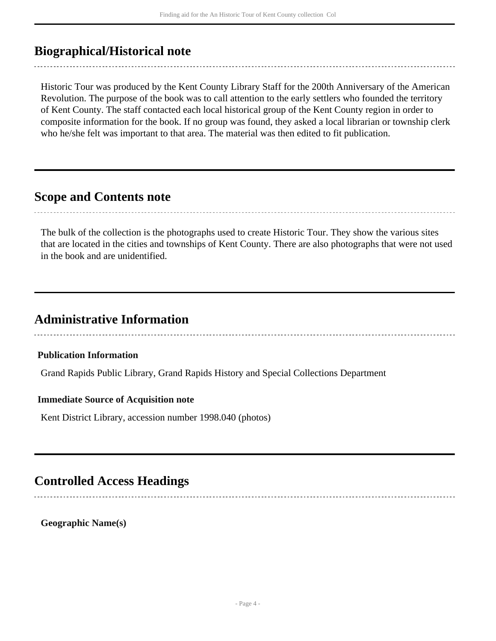### <span id="page-3-0"></span>**Biographical/Historical note**

Historic Tour was produced by the Kent County Library Staff for the 200th Anniversary of the American Revolution. The purpose of the book was to call attention to the early settlers who founded the territory of Kent County. The staff contacted each local historical group of the Kent County region in order to composite information for the book. If no group was found, they asked a local librarian or township clerk who he/she felt was important to that area. The material was then edited to fit publication.

#### <span id="page-3-1"></span>**Scope and Contents note**

The bulk of the collection is the photographs used to create Historic Tour. They show the various sites that are located in the cities and townships of Kent County. There are also photographs that were not used in the book and are unidentified.

### <span id="page-3-2"></span>**Administrative Information**

**Publication Information**

Grand Rapids Public Library, Grand Rapids History and Special Collections Department

#### **Immediate Source of Acquisition note**

Kent District Library, accession number 1998.040 (photos)

#### <span id="page-3-3"></span>**Controlled Access Headings**

**Geographic Name(s)**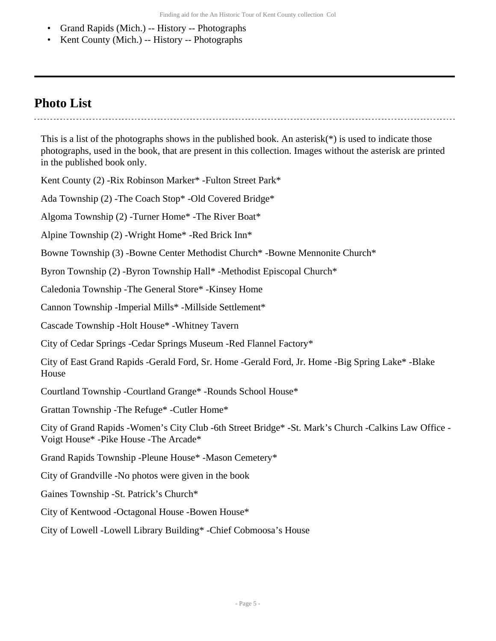- Grand Rapids (Mich.) -- History -- Photographs
- Kent County (Mich.) -- History -- Photographs

#### <span id="page-4-0"></span>**Photo List**

This is a list of the photographs shows in the published book. An asterisk( $*$ ) is used to indicate those photographs, used in the book, that are present in this collection. Images without the asterisk are printed in the published book only.

Kent County (2) -Rix Robinson Marker\* -Fulton Street Park\*

Ada Township (2) -The Coach Stop\* -Old Covered Bridge\*

Algoma Township (2) -Turner Home\* -The River Boat\*

Alpine Township (2) -Wright Home\* -Red Brick Inn\*

Bowne Township (3) -Bowne Center Methodist Church\* -Bowne Mennonite Church\*

Byron Township (2) -Byron Township Hall\* -Methodist Episcopal Church\*

Caledonia Township -The General Store\* -Kinsey Home

Cannon Township -Imperial Mills\* -Millside Settlement\*

Cascade Township -Holt House\* -Whitney Tavern

City of Cedar Springs -Cedar Springs Museum -Red Flannel Factory\*

City of East Grand Rapids -Gerald Ford, Sr. Home -Gerald Ford, Jr. Home -Big Spring Lake\* -Blake House

Courtland Township -Courtland Grange\* -Rounds School House\*

Grattan Township -The Refuge\* -Cutler Home\*

City of Grand Rapids -Women's City Club -6th Street Bridge\* -St. Mark's Church -Calkins Law Office - Voigt House\* -Pike House -The Arcade\*

Grand Rapids Township -Pleune House\* -Mason Cemetery\*

City of Grandville -No photos were given in the book

Gaines Township -St. Patrick's Church\*

City of Kentwood -Octagonal House -Bowen House\*

City of Lowell -Lowell Library Building\* -Chief Cobmoosa's House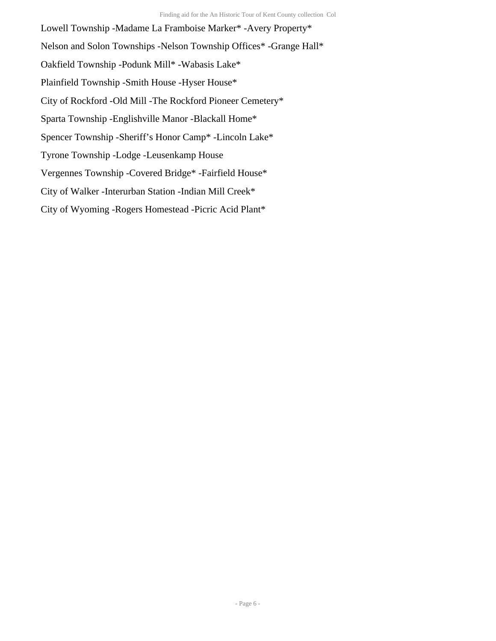Lowell Township -Madame La Framboise Marker\* -Avery Property\* Nelson and Solon Townships -Nelson Township Offices\* -Grange Hall\* Oakfield Township -Podunk Mill\* -Wabasis Lake\* Plainfield Township -Smith House -Hyser House\* City of Rockford -Old Mill -The Rockford Pioneer Cemetery\* Sparta Township -Englishville Manor -Blackall Home\* Spencer Township -Sheriff's Honor Camp\* -Lincoln Lake\* Tyrone Township -Lodge -Leusenkamp House Vergennes Township -Covered Bridge\* -Fairfield House\* City of Walker -Interurban Station -Indian Mill Creek\* City of Wyoming -Rogers Homestead -Picric Acid Plant\*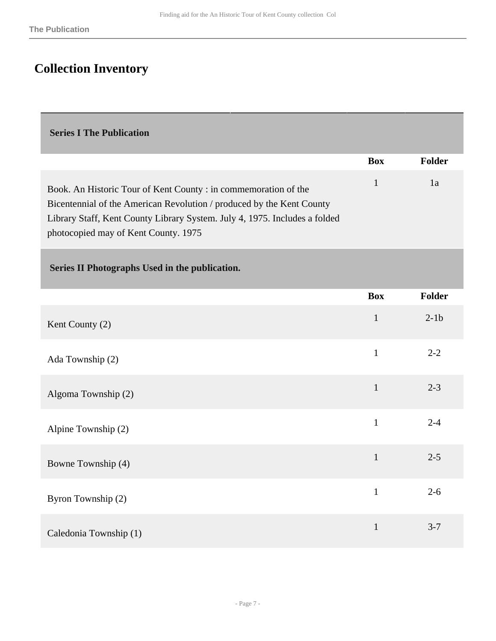### <span id="page-6-0"></span>**Collection Inventory**

#### <span id="page-6-1"></span> **Series I The Publication**

<span id="page-6-2"></span>

|                                                                                                                                                                                                                                                                | <b>Box</b>   | <b>Folder</b> |  |  |
|----------------------------------------------------------------------------------------------------------------------------------------------------------------------------------------------------------------------------------------------------------------|--------------|---------------|--|--|
| Book. An Historic Tour of Kent County : in commemoration of the<br>Bicentennial of the American Revolution / produced by the Kent County<br>Library Staff, Kent County Library System. July 4, 1975. Includes a folded<br>photocopied may of Kent County. 1975 | $\mathbf{1}$ | 1a            |  |  |
| Series II Photographs Used in the publication.                                                                                                                                                                                                                 |              |               |  |  |
|                                                                                                                                                                                                                                                                | <b>Box</b>   | Folder        |  |  |
| Kent County (2)                                                                                                                                                                                                                                                | $\mathbf{1}$ | $2-1b$        |  |  |
| Ada Township (2)                                                                                                                                                                                                                                               | $\mathbf{1}$ | $2 - 2$       |  |  |
| Algoma Township (2)                                                                                                                                                                                                                                            | $\mathbf{1}$ | $2 - 3$       |  |  |
| Alpine Township (2)                                                                                                                                                                                                                                            | $\mathbf{1}$ | $2 - 4$       |  |  |
| Bowne Township (4)                                                                                                                                                                                                                                             | $\mathbf{1}$ | $2 - 5$       |  |  |
| Byron Township (2)                                                                                                                                                                                                                                             | $\mathbf{1}$ | $2 - 6$       |  |  |
| Caledonia Township (1)                                                                                                                                                                                                                                         | $\mathbf{1}$ | $3 - 7$       |  |  |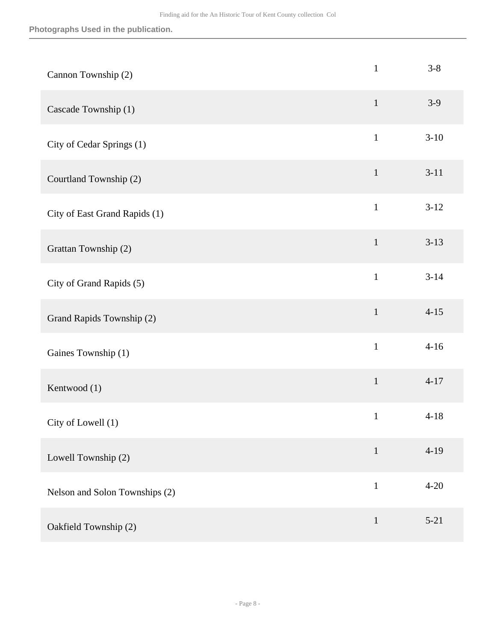| Cannon Township (2)            | $\mathbf{1}$ | $3 - 8$  |
|--------------------------------|--------------|----------|
| Cascade Township (1)           | $\mathbf{1}$ | $3-9$    |
| City of Cedar Springs (1)      | $\mathbf{1}$ | $3 - 10$ |
| Courtland Township (2)         | $\mathbf{1}$ | $3-11$   |
| City of East Grand Rapids (1)  | $\mathbf{1}$ | $3-12$   |
| Grattan Township (2)           | $\mathbf{1}$ | $3-13$   |
| City of Grand Rapids (5)       | $\mathbf{1}$ | $3 - 14$ |
| Grand Rapids Township (2)      | $\mathbf 1$  | $4 - 15$ |
| Gaines Township (1)            | $\mathbf{1}$ | $4 - 16$ |
| Kentwood (1)                   | $\mathbf{1}$ | $4 - 17$ |
| City of Lowell (1)             | $\mathbf{1}$ | $4 - 18$ |
| Lowell Township (2)            | $\mathbf{1}$ | $4 - 19$ |
| Nelson and Solon Townships (2) | $\mathbf{1}$ | $4 - 20$ |
| Oakfield Township (2)          | $\mathbf 1$  | $5 - 21$ |